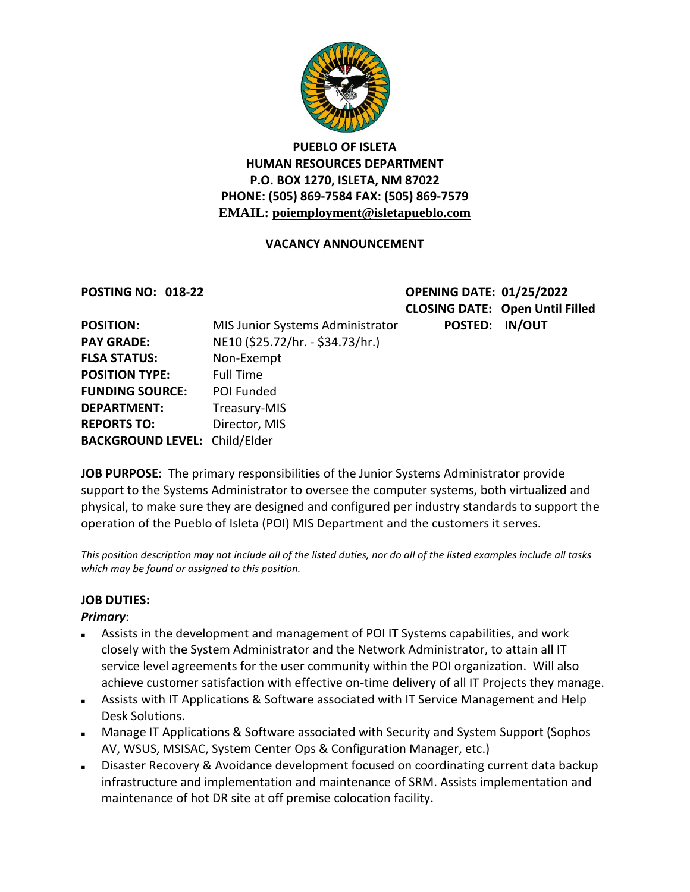

## **PUEBLO OF ISLETA HUMAN RESOURCES DEPARTMENT P.O. BOX 1270, ISLETA, NM 87022 PHONE: (505) 869-7584 FAX: (505) 869-7579 EMAIL: poiemployment@isletapueblo.com**

## **VACANCY ANNOUNCEMENT**

**POSTING NO: 018-22 OPENING DATE: 01/25/2022 CLOSING DATE: Open Until Filled**  trator **POSTED: IN/OUT** 

| <b>POSITION:</b>                     | MIS Junior Systems Administra    |
|--------------------------------------|----------------------------------|
| <b>PAY GRADE:</b>                    | NE10 (\$25.72/hr. - \$34.73/hr.) |
| <b>FLSA STATUS:</b>                  | Non-Exempt                       |
| <b>POSITION TYPE:</b>                | <b>Full Time</b>                 |
| <b>FUNDING SOURCE:</b>               | POI Funded                       |
| <b>DEPARTMENT:</b>                   | Treasury-MIS                     |
| <b>REPORTS TO:</b>                   | Director, MIS                    |
| <b>BACKGROUND LEVEL: Child/Elder</b> |                                  |
|                                      |                                  |

**JOB PURPOSE:** The primary responsibilities of the Junior Systems Administrator provide support to the Systems Administrator to oversee the computer systems, both virtualized and physical, to make sure they are designed and configured per industry standards to support the operation of the Pueblo of Isleta (POI) MIS Department and the customers it serves.

*This position description may not include all of the listed duties, nor do all of the listed examples include all tasks which may be found or assigned to this position.*

### **JOB DUTIES:**

### *Primary*:

- Assists in the development and management of POI IT Systems capabilities, and work closely with the System Administrator and the Network Administrator, to attain all IT service level agreements for the user community within the POI organization. Will also achieve customer satisfaction with effective on-time delivery of all IT Projects they manage.
- Assists with IT Applications & Software associated with IT Service Management and Help Desk Solutions.
- Manage IT Applications & Software associated with Security and System Support (Sophos AV, WSUS, MSISAC, System Center Ops & Configuration Manager, etc.)
- Disaster Recovery & Avoidance development focused on coordinating current data backup infrastructure and implementation and maintenance of SRM. Assists implementation and maintenance of hot DR site at off premise colocation facility.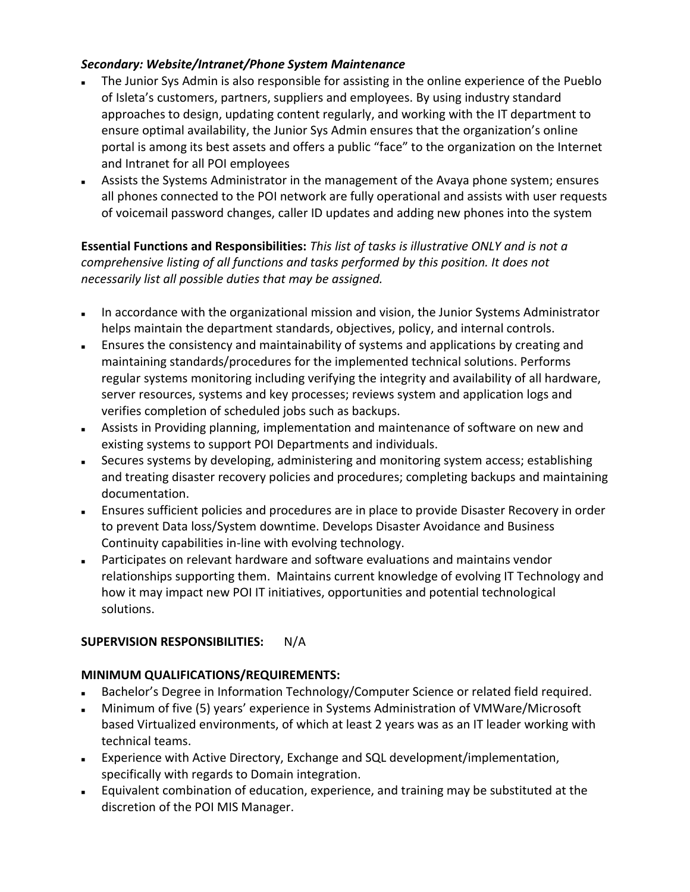## *Secondary: Website/Intranet/Phone System Maintenance*

- The Junior Sys Admin is also responsible for assisting in the online experience of the Pueblo of Isleta's customers, partners, suppliers and employees. By using industry standard approaches to design, updating content regularly, and working with the IT department to ensure optimal availability, the Junior Sys Admin ensures that the organization's online portal is among its best assets and offers a public "face" to the organization on the Internet and Intranet for all POI employees
- Assists the Systems Administrator in the management of the Avaya phone system; ensures all phones connected to the POI network are fully operational and assists with user requests of voicemail password changes, caller ID updates and adding new phones into the system

**Essential Functions and Responsibilities:** *This list of tasks is illustrative ONLY and is not a comprehensive listing of all functions and tasks performed by this position. It does not necessarily list all possible duties that may be assigned.*

- In accordance with the organizational mission and vision, the Junior Systems Administrator helps maintain the department standards, objectives, policy, and internal controls.
- Ensures the consistency and maintainability of systems and applications by creating and maintaining standards/procedures for the implemented technical solutions. Performs regular systems monitoring including verifying the integrity and availability of all hardware, server resources, systems and key processes; reviews system and application logs and verifies completion of scheduled jobs such as backups.
- Assists in Providing planning, implementation and maintenance of software on new and existing systems to support POI Departments and individuals.
- Secures systems by developing, administering and monitoring system access; establishing and treating disaster recovery policies and procedures; completing backups and maintaining documentation.
- Ensures sufficient policies and procedures are in place to provide Disaster Recovery in order to prevent Data loss/System downtime. Develops Disaster Avoidance and Business Continuity capabilities in-line with evolving technology.
- Participates on relevant hardware and software evaluations and maintains vendor relationships supporting them. Maintains current knowledge of evolving IT Technology and how it may impact new POI IT initiatives, opportunities and potential technological solutions.

# **SUPERVISION RESPONSIBILITIES:** N/A

# **MINIMUM QUALIFICATIONS/REQUIREMENTS:**

- Bachelor's Degree in Information Technology/Computer Science or related field required.
- Minimum of five (5) years' experience in Systems Administration of VMWare/Microsoft based Virtualized environments, of which at least 2 years was as an IT leader working with technical teams.
- Experience with Active Directory, Exchange and SQL development/implementation, specifically with regards to Domain integration.
- Equivalent combination of education, experience, and training may be substituted at the discretion of the POI MIS Manager.